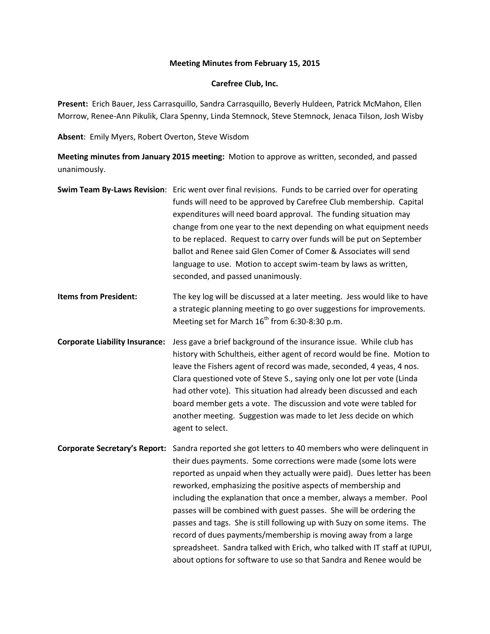## **Meeting Minutes from February 15, 2015**

## **Carefree Club, Inc.**

**Present:** Erich Bauer, Jess Carrasquillo, Sandra Carrasquillo, Beverly Huldeen, Patrick McMahon, Ellen Morrow, Renee-Ann Pikulik, Clara Spenny, Linda Stemnock, Steve Stemnock, Jenaca Tilson, Josh Wisby

**Absent**: Emily Myers, Robert Overton, Steve Wisdom

**Meeting minutes from January 2015 meeting:** Motion to approve as written, seconded, and passed unanimously.

|                                       | Swim Team By-Laws Revision: Eric went over final revisions. Funds to be carried over for operating<br>funds will need to be approved by Carefree Club membership. Capital<br>expenditures will need board approval. The funding situation may<br>change from one year to the next depending on what equipment needs<br>to be replaced. Request to carry over funds will be put on September<br>ballot and Renee said Glen Comer of Comer & Associates will send<br>language to use. Motion to accept swim-team by laws as written,<br>seconded, and passed unanimously.                                                                                                                                                                                        |
|---------------------------------------|----------------------------------------------------------------------------------------------------------------------------------------------------------------------------------------------------------------------------------------------------------------------------------------------------------------------------------------------------------------------------------------------------------------------------------------------------------------------------------------------------------------------------------------------------------------------------------------------------------------------------------------------------------------------------------------------------------------------------------------------------------------|
| <b>Items from President:</b>          | The key log will be discussed at a later meeting. Jess would like to have<br>a strategic planning meeting to go over suggestions for improvements.<br>Meeting set for March 16 <sup>th</sup> from 6:30-8:30 p.m.                                                                                                                                                                                                                                                                                                                                                                                                                                                                                                                                               |
| <b>Corporate Liability Insurance:</b> | Jess gave a brief background of the insurance issue. While club has<br>history with Schultheis, either agent of record would be fine. Motion to<br>leave the Fishers agent of record was made, seconded, 4 yeas, 4 nos.<br>Clara questioned vote of Steve S., saying only one lot per vote (Linda<br>had other vote). This situation had already been discussed and each<br>board member gets a vote. The discussion and vote were tabled for<br>another meeting. Suggestion was made to let Jess decide on which<br>agent to select.                                                                                                                                                                                                                          |
|                                       | Corporate Secretary's Report: Sandra reported she got letters to 40 members who were delinquent in<br>their dues payments. Some corrections were made (some lots were<br>reported as unpaid when they actually were paid). Dues letter has been<br>reworked, emphasizing the positive aspects of membership and<br>including the explanation that once a member, always a member. Pool<br>passes will be combined with guest passes. She will be ordering the<br>passes and tags. She is still following up with Suzy on some items. The<br>record of dues payments/membership is moving away from a large<br>spreadsheet. Sandra talked with Erich, who talked with IT staff at IUPUI,<br>about options for software to use so that Sandra and Renee would be |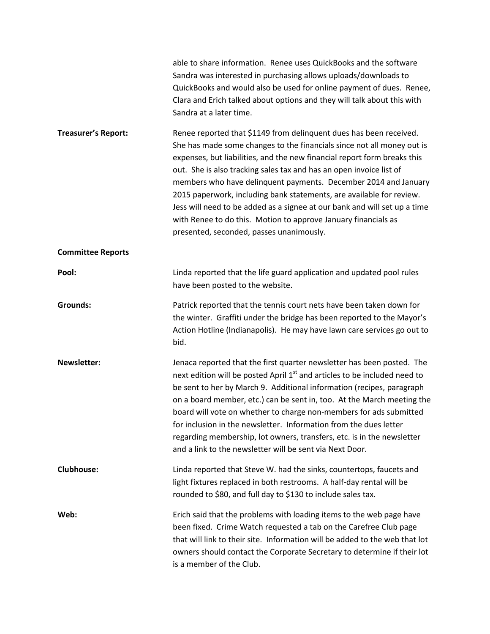|                            | able to share information. Renee uses QuickBooks and the software<br>Sandra was interested in purchasing allows uploads/downloads to<br>QuickBooks and would also be used for online payment of dues. Renee,<br>Clara and Erich talked about options and they will talk about this with<br>Sandra at a later time.                                                                                                                                                                                                                                                                                                                    |
|----------------------------|---------------------------------------------------------------------------------------------------------------------------------------------------------------------------------------------------------------------------------------------------------------------------------------------------------------------------------------------------------------------------------------------------------------------------------------------------------------------------------------------------------------------------------------------------------------------------------------------------------------------------------------|
| <b>Treasurer's Report:</b> | Renee reported that \$1149 from delinquent dues has been received.<br>She has made some changes to the financials since not all money out is<br>expenses, but liabilities, and the new financial report form breaks this<br>out. She is also tracking sales tax and has an open invoice list of<br>members who have delinquent payments. December 2014 and January<br>2015 paperwork, including bank statements, are available for review.<br>Jess will need to be added as a signee at our bank and will set up a time<br>with Renee to do this. Motion to approve January financials as<br>presented, seconded, passes unanimously. |
| <b>Committee Reports</b>   |                                                                                                                                                                                                                                                                                                                                                                                                                                                                                                                                                                                                                                       |
| Pool:                      | Linda reported that the life guard application and updated pool rules<br>have been posted to the website.                                                                                                                                                                                                                                                                                                                                                                                                                                                                                                                             |
| <b>Grounds:</b>            | Patrick reported that the tennis court nets have been taken down for<br>the winter. Graffiti under the bridge has been reported to the Mayor's<br>Action Hotline (Indianapolis). He may have lawn care services go out to<br>bid.                                                                                                                                                                                                                                                                                                                                                                                                     |
| <b>Newsletter:</b>         | Jenaca reported that the first quarter newsletter has been posted. The<br>next edition will be posted April 1 <sup>st</sup> and articles to be included need to<br>be sent to her by March 9. Additional information (recipes, paragraph<br>on a board member, etc.) can be sent in, too. At the March meeting the<br>board will vote on whether to charge non-members for ads submitted<br>for inclusion in the newsletter. Information from the dues letter<br>regarding membership, lot owners, transfers, etc. is in the newsletter<br>and a link to the newsletter will be sent via Next Door.                                   |
| <b>Clubhouse:</b>          | Linda reported that Steve W. had the sinks, countertops, faucets and<br>light fixtures replaced in both restrooms. A half-day rental will be<br>rounded to \$80, and full day to \$130 to include sales tax.                                                                                                                                                                                                                                                                                                                                                                                                                          |
| Web:                       | Erich said that the problems with loading items to the web page have<br>been fixed. Crime Watch requested a tab on the Carefree Club page<br>that will link to their site. Information will be added to the web that lot<br>owners should contact the Corporate Secretary to determine if their lot<br>is a member of the Club.                                                                                                                                                                                                                                                                                                       |